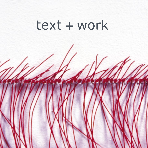# text + work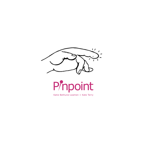



Katie Bethune-Leamen + Kate Terry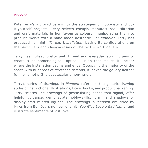## Pinpoint

Kate Terry's art practice mimics the strategies of hobbyists and doit-yourself projects. Terry selects cheaply manufactured utilitarian and craft materials in her favourite colours, manipulating them to produce works with a hand-made aesthetic. For *Pinpoint*, Terry has produced her ninth *Thread Installation*, basing its configurations on the particulars and idiosyncrasies of the text  $+$  work gallery.

Terry has utilised pretty pink thread and everyday straight pins to create a phenomenological, optical illusion that makes it unclear where the installation begins and ends. Occupying the majority of the space with hundreds of stretched threads, it leaves the gallery neither full nor empty. It is spectacularly non-heroic.

Terry's series of drawings in *Pinpoint* reference the generic drawing styles of instructional illustrations, Dover books, and product packaging. Terry creates line drawings of gesticulating hands that signal, offer helpful guidance, demonstrate hobby-skills, form hand shadows or display craft related injuries. The drawings in *Pinpoint* are titled by lyrics from Bon Jovi's number one hit, *You Give Love a Bad Name*, and illustrate sentiments of lost love.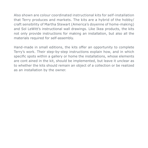Also shown are colour coordinated instructional kits for self-installation that Terry produces and markets. The kits are a hybrid of the hobby/ craft sensibility of Martha Stewart (America's doyenne of home-making) and Sol LeWitt's instructional wall drawings. Like Ikea products, the kits not only provide instructions for making an installation, but also all the materials required for self-assembly.

Hand-made in small editions, the kits offer an opportunity to complete Terry's work. Their step-by-step instructions explain how, and in which specific spots within a gallery or home the installations, whose elements are cont ained in the kit, should be implemented, but leave it unclear as to whether the kits should remain an object of a collection or be realized as an installation by the owner.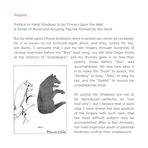## Pinpoint

Preface to Hand Shadows to be Thrown Upon the Wall: A Series of Novel and Amusing Figures Formed by the Hand

But by what pains [these shadows] were invented can never be revealed; for it is known to my tortured digits alone, and they, luckily for me, are dumb. I calculate that I put my ten fingers through hundreds of various exercises before my "Bird" took wing; my left little finger thrills at the memory of "Grandpapa"; and my thumbs gave in no less than



twenty times before "Boy" was accomplished. Yet now how easy it is to make the "Duck" to quack, the "Donkey" to bray, "Toby" to wag his tail, and the "Rabbit" to munch his unsubstantial meal.

Of course the Shadows are not to be reproduced perfectly, on "one trial only"; but I believe that in each case I have drawn the due position of the fingers with such care, that the most difficult subject may be accomplished after a few minutes; nor need ingenious youth or parental fondness confine their endeavours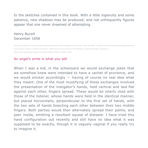to the sketches contained in this book. With a little ingenuity and some patience, new shadows may be produced; and not unfrequently figures appear that one never dreamed of attempting.

## Henry Bursill December 1858

This is the preface to Henry Bursill's edifying little book Hand Shadows to be Thrown Upon the Wall: A Series of Novel and Amusing Figures Formed by the Hand (London: Griffith and Farran, 1859) which can be found on the fabulous Gutenberg Project website at: http://www.gutenberg.org/dirs/1/2/9/6/12962/12962-h/12962-h.htm

## An angel's smile is what you sell

When I was a kid, in the schoolyard we would exchange jokes that we somehow knew were intended to have a cachet of prurience, and we would snicker accordingly  $-$  having of course no real idea what they meant. One of the most mystifying of these exchanges involved the presentation of the instigator's hands, held vertical and laid flat against each other, fingers spread. These would be interlo cked with those of the listener, whose hands were held in the identical manner, but placed horizontally, perpendicular to the first set of hands, with the two sets of hands bisecting each other between their two middle fingers. Both parties would then alternately spread their palms, and peer inside, emitting a resultant squeal of distaste. I have tried this hand configuration out recently and still have no idea what it was supposed to be exactly, though it is vaguely vaginal if you really try to imagine it.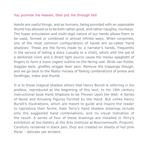## You promise me heaven, then put me through hell

Hands are useful things, and as humans, being provided with an opposable thumb has allowed us to be both rather good, and rather naughty, monkeys. The hyper articulation and multi-digit nature of our hands allows them to be used, formed or combined in almost infinite ways. When conjoined, one of the most common configurations of hands are so-called 'hand shadows'. These are the forms made by a narrator's hands, frequently in the service of telling a story (usually to a child), which with the aid of a darkened room and a direct light source cause the messy spaghetti of fingers to form a more cogent outline on the facing wall. Birds can flutter, doggies bark, giraffes wriggle their ears. Remove the trappings though, and we go back to the fleshy morass of flailing combinations of pinkie and forefinger, index and thumb.

It is to these magical shadow others that Henry Bursill is referring in his preface, reproduced at the beginning of this text, to his 19th century instructional book Hand Shadows to be Thrown Upon the Wall: A Series of Novel and Amusing Figures Formed by the Hand. But unlike Henry Bursill's illustrations, which are meant to guide and inspire the reader to reproduce their forms, Kate Terry's hand shadow drawings include only the suggested hand combinations, and no visual indication of the result. A series of four of these drawings are installed in Terry's exhibition at the Gallery at the Arts Institute at Bournemouth, Pinpoint. Carefully rendered in black pen, they are created on sheets of hot pink Mylar - delicate yet strident.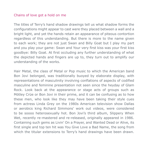## Chains of love got a hold on me

The titles of Terry's hand shadow drawings tell us what shadow forms the configurations might appear to cast were they placed between a wall and a bright light, and yet the hands retain an appearance of piteous contortion regardless of this understanding. But there is more to the name given to each work; they are not just Swan and Billy Goat but I play my part and you play your game: Swan and Your very first kiss was your first kiss goodbye: Billy Goat. At first occluding any further understanding of what the depicted hands and fingers are up to, they turn out to amplify our understanding of the works.

Hair Metal, the class of Metal or Pop music to which the American band Bon Jovi belonged, was traditionally buoyed by elaborate display, with representations of masculinity involving conflations of aspects of codified masculine and feminine presentation not seen since the heyday of Glam Rock. Look back at the appearance or stage acts of groups such as Mötley Crüe or Bon Jovi in their prime, and it can be confusing as to how these men, who look like they may have been taking their style cues from actress Linda Grey on the 1980s American television show Dallas or aerobics king Richard Simmons' work out videos, were considered to be soooo heterosexually hot. Bon Jovi's third album, Slippery When Wet, recently re-mastered and re-released, originally appeared in 1986. Containing such gems as Livin' On a Prayer, and Wanted Dead or Alive, its first single and top ten hit was You Give Love a Bad Name, the song from which the titular extensions to Terry's hand drawings have been drawn.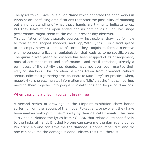The lyrics to You Give Love a Bad Name which annotate the hand works in Pinpoint are confusing amplifications that offer the possibility of rounding out an understanding of what these hands are trying to indicate to us. But they leave things open ended and as baffling as a Bon Jovi stage performance might seem to the casual present day observer.

This conflation of two disparate sources  $-$  instructional drawings for how to form animal-shaped shadows, and Pop/Metal lyrics — is a frontispiece to an empty story: a karaoke of sorts. They conjoin to form a narrative with no purpose, a fictional confabulation that leads us to no specific place. The guitar-driven paean to lost love has been stripped of its arrangement, musical accompaniment and performance, and the illustrations, already a palimpsest of the activity they denote, have not even been granted their edifying shadows. This accretion of signs taken from divergent cultural arenas indicates a gathering process innate to Kate Terry's art practice, when, magpie-like, she accumulates information and 'bits' that she finds compelling, melding them together into poignant installations and beguiling drawings.

#### When passion's a prison, you can't break free

A second series of drawings in the Pinpoint exhibition show hands suffering from the labours of their love. Poked, slit, or swollen, they have been inadvertently put in harm's way by their delicate travails. This time Terry has purloined the lyrics from YGLABN that relate quite specifically to the tasks at hand. Entitled No one can save me the damage is done: Pin-prick, No one can save me the damage is done: Paper cut, and No one can save me the damage is done: Blister, this time there is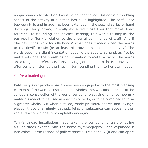no question as to why Bon Jovi is being channelled. But again a troubling aspect of the activity in question has been highlighted. The confluence between lyric and image has been extended in the second series of hand drawings, Terry having carefully extracted those lines that make direct reference to wounding and physical mishap; this works to amplify the push/pull of Terry's relation to the cheerful demimonde of craft. And if 'the devil finds work for idle hands', what does it mean when the words to the devil's music (or at least his Muzak) scores their activity? The words become a silent incantation buoying the activity at hand, as if to be muttered under the breath as an intonation to meter activity. The words are a tangential reference, Terry having glommed on to the Bon Jovi lyrics after being smitten by the lines, in turn bending them to her own needs.

## You're a loaded gun

Kate Terry's art practice has always been engaged with the most pleasing elements of the world of craft, and the wholesome, winsome supplies of the colloquial construction of the world: balloons; plasticine; pins; pompoms materials meant to be used in specific contexts, or to be combined to form a greater whole. But when distilled, made precious, adored and lovingly placed, these charmingly pathetic iotas of substance can appear either sad and wholly alone, or completely engaging.

Terry's thread installations have taken the confounding craft of string art (at times exalted with the name 'symmography') and expanded it into colorful articulations of gallery spaces. Traditionally (if one can apply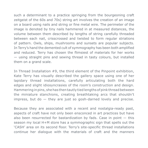such a determinant to a practice springing from the bourgeoning craft zeitgeist of the 60s and 70s) string art involves the creation of an image on a board using nails and string or fine metal wire. The perimeter of the image is denoted by tiny nails hammered in at measured distances, the volume between them described by lengths of string carefully threaded between each nail, crisscrossed and twisted to form regular striations of pattern. Owls, ships, mushrooms and sunsets are popular subjects. In Terry's hand the demented cult of symmography has been both amplified and reduced. Terry has chosen the flimsiest of materials for her works — using straight pins and sewing thread in tasty colours, but installed them on a grand scale.

In Thread Installation #9, the third element of the Pinpoint exhibition, Kate Terry has visually described the gallery space using one of her lapidary thread installations, carefully articulating both the hard edges and slight idiosyncrasies of the room's construction and design. Hammering in pins, she has then tautly tied lengths of pink thread between the miniature stanchions, creating breathtaking arcs that shouldn't  $impress, but do - they are just so qosh-darned$ **lovaly** $and precise.$ 

Because they are associated with a recent and nostalgia-ready past, aspects of craft have not only been ensconced in art practices but have also been resurrected for bastardization by fads. Case in point  $-$  this season my local H+M store has a symmographic sign that spells out the 'CASH' area on its second floor. Terry's site-specific thread installations continue her dialogue with the materials of craft and the manners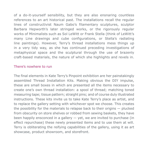of a do-it-yourself sensibility, but they are also ensnaring countless references to an art historical past. The installations recall the regular lines of constructivist Naum Gabo's filamentary sculptures, sculptor Barbara Hepworth's later stringed works, or the rigorously regular works of Minimalists such as Sol LeWitt or Frank Stella (think of LeWitt's many Line drawings and cube configurations, or Stella's radiating line paintings). However, Terry's thread installations mess things up in a very tidy way, as she has continued preceding investigations of metaphysical space and the sculptural through the use of brazenly craft-based materials, the nature of which she highlights and revels in.

#### There's nowhere to run

The final elements in Kate Terry's Pinpoint exhibition are her painstakingly assembled Thread Installation Kits. Making obvious the DIY impulse, these are small boxes in which are presented all the items necessary to create one's own thread installation: a spool of thread; matching toned measuring tape; tissue pattern; straight pins; and of course duly illustrated instructions. These kits invite us to take Kate Terry's place as artist, and to replace the gallery setting with whichever spot we choose. This creates the possibility for the materials to relapse back to their origins — plucked from obscurity on store shelves or robbed from sewing baskets, they have been happily ensconced in a gallery  $-$  yet, we are invited to purchase (in effect repurchase) these newly presented items and to use them at will. Terry is obliterating the reifying capabilities of the gallery, using it as art showcase, product showroom, and storefront.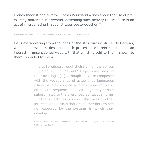French theorist and curator Nicolas Bourriaud writes about the use of preexisting materials in artworks, describing such activity thusly: "use is an act of micropirating that constitutes postproduction."

Nicolas Bourriaud, Postproduction, trans. Jeanine Herman (New York: Lukas & Sternberg, 2000) 18.

He is extrapolating from the ideas of the structuralist Michel de Certeau, who had previously described such processes wherein consumers can interact in unsanctioned ways with that which is sold to them, shown to them, provided to them:

> [...they] produce through their signifying practices [...] "indirect" or "errant" trajectories obeying their own logic […] Although they are composed with the vocabularies of established languages (those of television, newspapers, supermarkets, or museum sequences) and although they remain subordinated to the prescribed syntactical forms [...] the trajectories trace out the ruses of other interests and desires that are neither determined nor captured by the systems in which they develop.

> Michel de Certeau, The Practice of Everyday Life, trans. Steven Rendall (Berkeley: University of California Press, 1984) 30.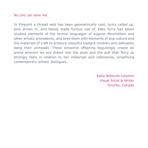#### No one can save me

In Pinpoint a thread web has been geometrically cast, lyrics called up, pins driven in, and hands made furious use of. Kate Terry has taken studied elements of the formal languages of bygone Minimalism and other artistic precedents, and bred them with elements of pop culture and the materials of craft to produce colourful bastard children who delicately bang their pinheads. These winsome offspring beguilingly create an arena wherein we are drawn into the push and the pull that Terry so strongly feels in relation to her materials and references, amplifying contemporary artistic dialogues.

> Katie Bethune-Leamen Visual Artist & Writer Toronto, Canada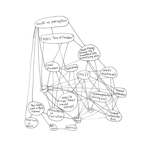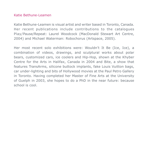## Katie Bethune-Leamen

Katie Bethune-Leamen is visual artist and writer based in Toronto, Canada. Her recent publications include contributions to the catalogues Play/Pause/Repeat: Laurel Woodcock (MacDonald Stewart Art Centre, 2004) and Michael Waterman: Robochorus (Artspace, 2005).

Her most recent solo exhibitions were: Wouldn't It Be (Ice, Ice), a combination of videos, drawings, and sculptural works about polar bears, customized cars, ice coolers and Hip-Hop, shown at the Khyber Centre for the Arts in Halifax, Canada in 2004 and Bite, a show that features TransArms, silicone buttock implants, fake Louis Vuitton bags, car under-lighting and bits of Hollywood movies at the Paul Petro Gallery in Toronto. Having completed her Master of Fine Arts at the University of Guelph in 2003, she hopes to do a PhD in the near future: because school is cool.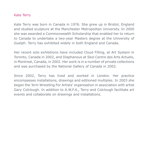## Kate Terry

Kate Terry was born in Canada in 1976. She grew up in Bristol, England and studied sculpture at the Manchester Metropolitan University. In 2000 she was awarded a Commonwealth Scholarship that enabled her to return to Canada to undertake a two-year Masters degree at the University of Guelph. Terry has exhibited widely in both England and Canada.

Her recent solo exhibitions have included Cloud Filling, at Art System in Toronto, Canada in 2002, and Diaphanous at Skol Centre des Arts Actuels, in Montreal, Canada, in 2002. Her work is in a number of private collections and was purchased by the National Gallery of Canada in 2002.

Since 2002, Terry has lived and worked in London. Her practice encompasses installations, drawings and editioned multiples. In 2003 she began the 'Arm Wrestling For Artists' organisation in association with artist Gary Colclough. In addition to A.W.F.A., Terry and Colclough facilitate art events and collaborate on drawings and installations.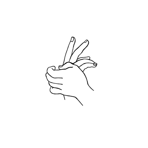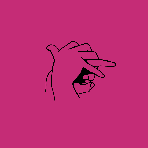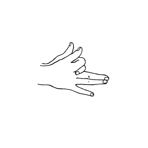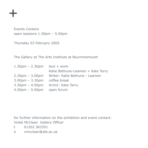

Events Content open sessions 1.30pm – 5.00pm

Thursday 03 February 2005

The Gallery at The Arts Institute at Bournmemouth

| $1.30 \text{pm}$ – 2.30pm text + work |                                   |
|---------------------------------------|-----------------------------------|
|                                       | Katie Bethune-Leamen + Kate Terry |
| $2.30pm - 3.00pm$                     | Writer: Katie Bethune - Leamen    |
| $3.00pm - 3.30pm$                     | coffee break                      |
| $3.30pm - 4.00pm$                     | Artist: Kate Terry                |
| $4.00 \text{pm} - 5.00 \text{pm}$     | open forum                        |

for further information on the exhibition and event contact: Violet McClean Gallery Officer

- t 01202 363351
- e vmcclean@aib.ac.uk